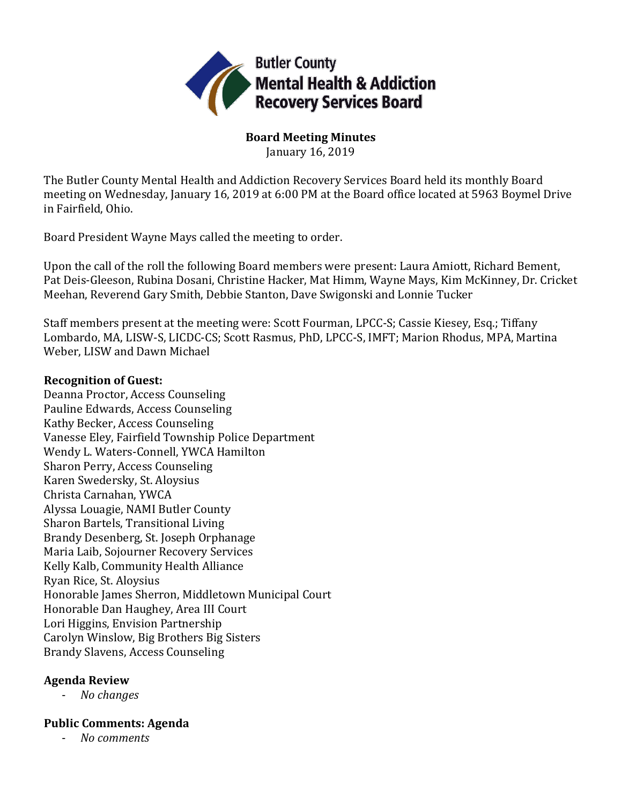

**Board Meeting Minutes**

January 16, 2019

The Butler County Mental Health and Addiction Recovery Services Board held its monthly Board meeting on Wednesday, January 16, 2019 at 6:00 PM at the Board office located at 5963 Boymel Drive in Fairfield, Ohio.

Board President Wayne Mays called the meeting to order.

Upon the call of the roll the following Board members were present: Laura Amiott, Richard Bement, Pat Deis-Gleeson, Rubina Dosani, Christine Hacker, Mat Himm, Wayne Mays, Kim McKinney, Dr. Cricket Meehan, Reverend Gary Smith, Debbie Stanton, Dave Swigonski and Lonnie Tucker

Staff members present at the meeting were: Scott Fourman, LPCC-S; Cassie Kiesey, Esq.; Tiffany Lombardo, MA, LISW-S, LICDC-CS; Scott Rasmus, PhD, LPCC-S, IMFT; Marion Rhodus, MPA, Martina Weber, LISW and Dawn Michael

### **Recognition of Guest:**

Deanna Proctor, Access Counseling Pauline Edwards, Access Counseling Kathy Becker, Access Counseling Vanesse Eley, Fairfield Township Police Department Wendy L. Waters-Connell, YWCA Hamilton Sharon Perry, Access Counseling Karen Swedersky, St. Aloysius Christa Carnahan, YWCA Alyssa Louagie, NAMI Butler County Sharon Bartels, Transitional Living Brandy Desenberg, St. Joseph Orphanage Maria Laib, Sojourner Recovery Services Kelly Kalb, Community Health Alliance Ryan Rice, St. Aloysius Honorable James Sherron, Middletown Municipal Court Honorable Dan Haughey, Area III Court Lori Higgins, Envision Partnership Carolyn Winslow, Big Brothers Big Sisters Brandy Slavens, Access Counseling

## **Agenda Review**

- *No changes*

## **Public Comments: Agenda**

- *No comments*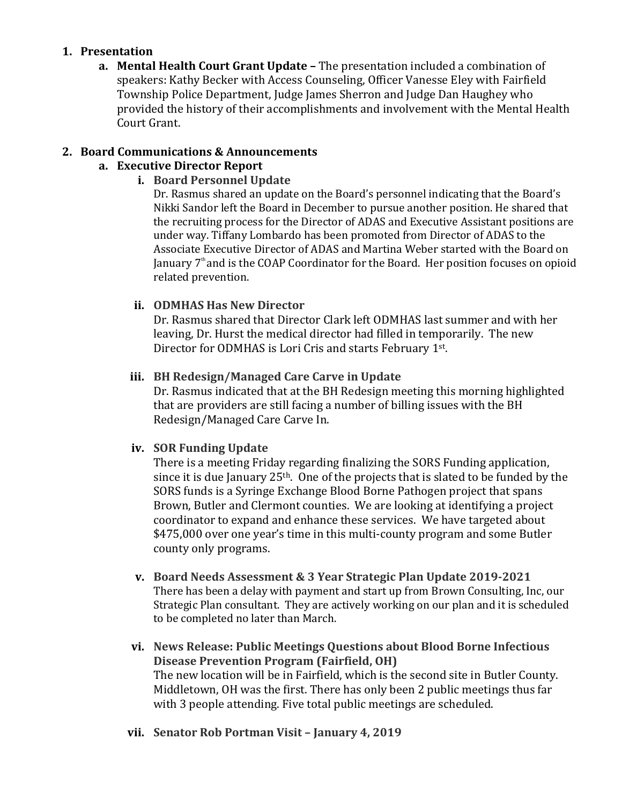#### **1. Presentation**

**a. Mental Health Court Grant Update –** The presentation included a combination of speakers: Kathy Becker with Access Counseling, Officer Vanesse Eley with Fairfield Township Police Department, Judge James Sherron and Judge Dan Haughey who provided the history of their accomplishments and involvement with the Mental Health Court Grant.

#### **2. Board Communications & Announcements**

## **a. Executive Director Report**

#### **i. Board Personnel Update**

Dr. Rasmus shared an update on the Board's personnel indicating that the Board's Nikki Sandor left the Board in December to pursue another position. He shared that the recruiting process for the Director of ADAS and Executive Assistant positions are under way. Tiffany Lombardo has been promoted from Director of ADAS to the Associate Executive Director of ADAS and Martina Weber started with the Board on January  $7<sup>th</sup>$  and is the COAP Coordinator for the Board. Her position focuses on opioid related prevention.

### **ii. ODMHAS Has New Director**

Dr. Rasmus shared that Director Clark left ODMHAS last summer and with her leaving, Dr. Hurst the medical director had filled in temporarily. The new Director for ODMHAS is Lori Cris and starts February 1st.

#### **iii. BH Redesign/Managed Care Carve in Update**

Dr. Rasmus indicated that at the BH Redesign meeting this morning highlighted that are providers are still facing a number of billing issues with the BH Redesign/Managed Care Carve In.

#### **iv. SOR Funding Update**

There is a meeting Friday regarding finalizing the SORS Funding application, since it is due January 25th. One of the projects that is slated to be funded by the SORS funds is a Syringe Exchange Blood Borne Pathogen project that spans Brown, Butler and Clermont counties. We are looking at identifying a project coordinator to expand and enhance these services. We have targeted about \$475,000 over one year's time in this multi-county program and some Butler county only programs.

- **v. Board Needs Assessment & 3 Year Strategic Plan Update 2019-2021** There has been a delay with payment and start up from Brown Consulting, Inc, our Strategic Plan consultant. They are actively working on our plan and it is scheduled to be completed no later than March.
- **vi. News Release: Public Meetings Questions about Blood Borne Infectious Disease Prevention Program (Fairfield, OH)** The new location will be in Fairfield, which is the second site in Butler County. Middletown, OH was the first. There has only been 2 public meetings thus far with 3 people attending. Five total public meetings are scheduled.
- **vii. Senator Rob Portman Visit – January 4, 2019**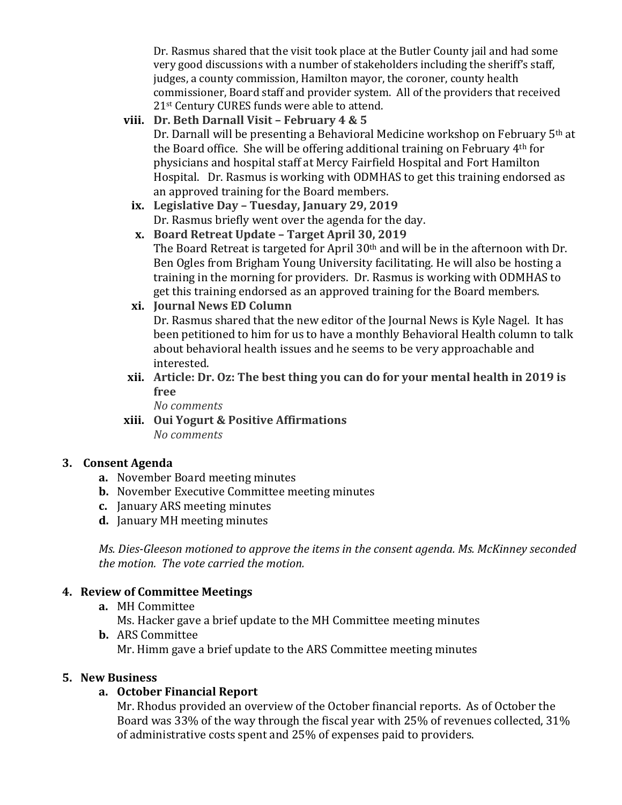Dr. Rasmus shared that the visit took place at the Butler County jail and had some very good discussions with a number of stakeholders including the sheriff's staff, judges, a county commission, Hamilton mayor, the coroner, county health commissioner, Board staff and provider system. All of the providers that received 21st Century CURES funds were able to attend.

## **viii. Dr. Beth Darnall Visit – February 4 & 5**

Dr. Darnall will be presenting a Behavioral Medicine workshop on February 5th at the Board office. She will be offering additional training on February 4th for physicians and hospital staff at Mercy Fairfield Hospital and Fort Hamilton Hospital. Dr. Rasmus is working with ODMHAS to get this training endorsed as an approved training for the Board members.

- **ix. Legislative Day – Tuesday, January 29, 2019** Dr. Rasmus briefly went over the agenda for the day.
- **x. Board Retreat Update – Target April 30, 2019** The Board Retreat is targeted for April  $30<sup>th</sup>$  and will be in the afternoon with Dr. Ben Ogles from Brigham Young University facilitating. He will also be hosting a training in the morning for providers. Dr. Rasmus is working with ODMHAS to get this training endorsed as an approved training for the Board members.

### **xi. Journal News ED Column**

Dr. Rasmus shared that the new editor of the Journal News is Kyle Nagel. It has been petitioned to him for us to have a monthly Behavioral Health column to talk about behavioral health issues and he seems to be very approachable and interested.

**xii. Article: Dr. Oz: The best thing you can do for your mental health in 2019 is free**

*No comments*

**xiii. Oui Yogurt & Positive Affirmations** *No comments*

#### **3. Consent Agenda**

- **a.** November Board meeting minutes
- **b.** November Executive Committee meeting minutes
- **c.** January ARS meeting minutes
- **d.** January MH meeting minutes

*Ms. Dies-Gleeson motioned to approve the items in the consent agenda. Ms. McKinney seconded the motion. The vote carried the motion.*

## **4. Review of Committee Meetings**

**a.** MH Committee

Ms. Hacker gave a brief update to the MH Committee meeting minutes

**b.** ARS Committee Mr. Himm gave a brief update to the ARS Committee meeting minutes

#### **5. New Business**

#### **a. October Financial Report**

Mr. Rhodus provided an overview of the October financial reports. As of October the Board was 33% of the way through the fiscal year with 25% of revenues collected, 31% of administrative costs spent and 25% of expenses paid to providers.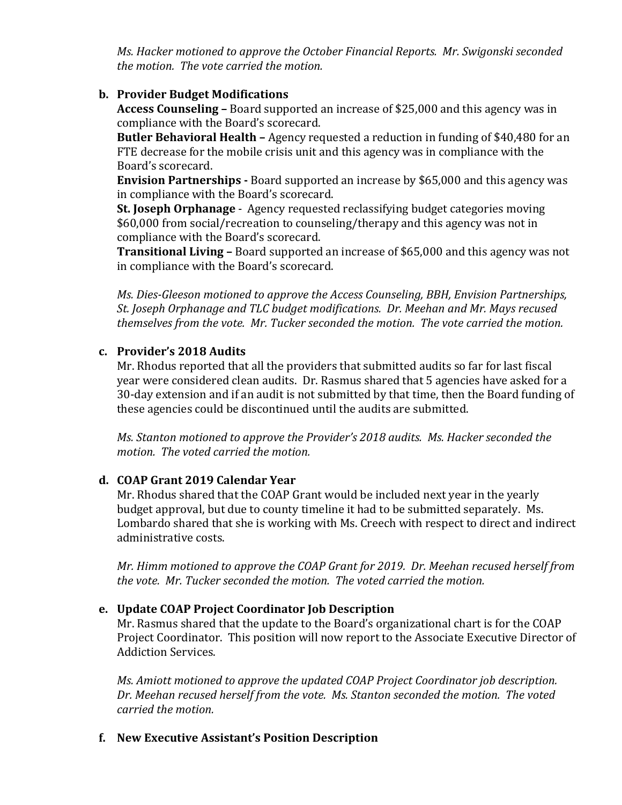*Ms. Hacker motioned to approve the October Financial Reports. Mr. Swigonski seconded the motion. The vote carried the motion.*

## **b. Provider Budget Modifications**

**Access Counseling –** Board supported an increase of \$25,000 and this agency was in compliance with the Board's scorecard.

**Butler Behavioral Health –** Agency requested a reduction in funding of \$40,480 for an FTE decrease for the mobile crisis unit and this agency was in compliance with the Board's scorecard.

**Envision Partnerships -** Board supported an increase by \$65,000 and this agency was in compliance with the Board's scorecard.

**St. Joseph Orphanage** - Agency requested reclassifying budget categories moving \$60,000 from social/recreation to counseling/therapy and this agency was not in compliance with the Board's scorecard.

**Transitional Living –** Board supported an increase of \$65,000 and this agency was not in compliance with the Board's scorecard.

*Ms. Dies-Gleeson motioned to approve the Access Counseling, BBH, Envision Partnerships, St. Joseph Orphanage and TLC budget modifications. Dr. Meehan and Mr. Mays recused themselves from the vote. Mr. Tucker seconded the motion. The vote carried the motion.*

#### **c. Provider's 2018 Audits**

Mr. Rhodus reported that all the providers that submitted audits so far for last fiscal year were considered clean audits. Dr. Rasmus shared that 5 agencies have asked for a 30-day extension and if an audit is not submitted by that time, then the Board funding of these agencies could be discontinued until the audits are submitted.

*Ms. Stanton motioned to approve the Provider's 2018 audits. Ms. Hacker seconded the motion. The voted carried the motion.*

## **d. COAP Grant 2019 Calendar Year**

Mr. Rhodus shared that the COAP Grant would be included next year in the yearly budget approval, but due to county timeline it had to be submitted separately. Ms. Lombardo shared that she is working with Ms. Creech with respect to direct and indirect administrative costs.

*Mr. Himm motioned to approve the COAP Grant for 2019. Dr. Meehan recused herself from the vote. Mr. Tucker seconded the motion. The voted carried the motion.*

## **e. Update COAP Project Coordinator Job Description**

Mr. Rasmus shared that the update to the Board's organizational chart is for the COAP Project Coordinator. This position will now report to the Associate Executive Director of Addiction Services.

*Ms. Amiott motioned to approve the updated COAP Project Coordinator job description. Dr. Meehan recused herself from the vote. Ms. Stanton seconded the motion. The voted carried the motion.*

#### **f. New Executive Assistant's Position Description**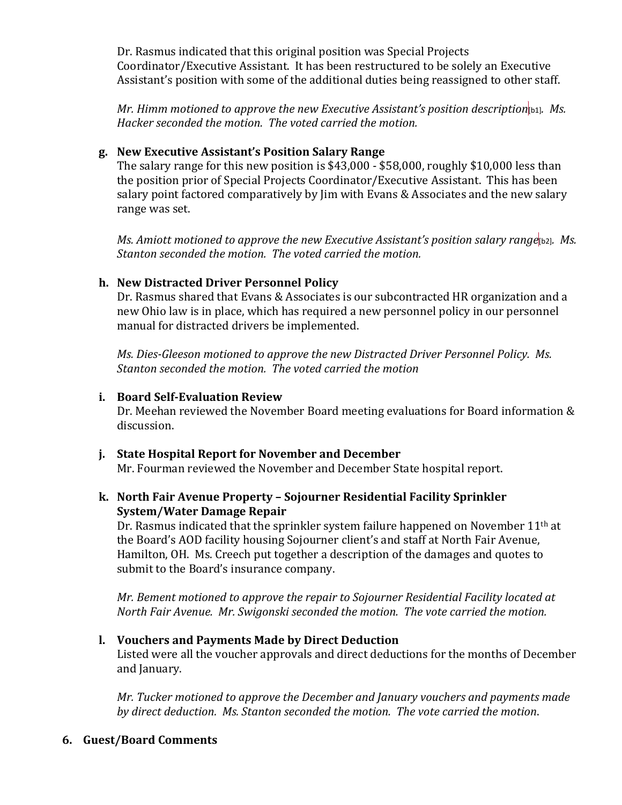Dr. Rasmus indicated that this original position was Special Projects Coordinator/Executive Assistant. It has been restructured to be solely an Executive Assistant's position with some of the additional duties being reassigned to other staff.

*Mr. Himm motioned to approve the new Executive Assistant's position description*[b1]*. Ms. Hacker seconded the motion. The voted carried the motion.*

#### **g. New Executive Assistant's Position Salary Range**

The salary range for this new position is \$43,000 - \$58,000, roughly \$10,000 less than the position prior of Special Projects Coordinator/Executive Assistant. This has been salary point factored comparatively by Jim with Evans & Associates and the new salary range was set.

*Ms. Amiott motioned to approve the new Executive Assistant's position salary range*[b2]. Ms. *Stanton seconded the motion. The voted carried the motion.*

### **h. New Distracted Driver Personnel Policy**

Dr. Rasmus shared that Evans & Associates is our subcontracted HR organization and a new Ohio law is in place, which has required a new personnel policy in our personnel manual for distracted drivers be implemented.

*Ms. Dies-Gleeson motioned to approve the new Distracted Driver Personnel Policy. Ms. Stanton seconded the motion. The voted carried the motion*

### **i. Board Self-Evaluation Review**

Dr. Meehan reviewed the November Board meeting evaluations for Board information & discussion.

**j. State Hospital Report for November and December** Mr. Fourman reviewed the November and December State hospital report.

### **k. North Fair Avenue Property – Sojourner Residential Facility Sprinkler System/Water Damage Repair**

Dr. Rasmus indicated that the sprinkler system failure happened on November 11<sup>th</sup> at the Board's AOD facility housing Sojourner client's and staff at North Fair Avenue, Hamilton, OH. Ms. Creech put together a description of the damages and quotes to submit to the Board's insurance company.

*Mr. Bement motioned to approve the repair to Sojourner Residential Facility located at North Fair Avenue. Mr. Swigonski seconded the motion. The vote carried the motion.*

## **l. Vouchers and Payments Made by Direct Deduction**

Listed were all the voucher approvals and direct deductions for the months of December and January.

*Mr. Tucker motioned to approve the December and January vouchers and payments made by direct deduction. Ms. Stanton seconded the motion. The vote carried the motion*.

#### **6. Guest/Board Comments**